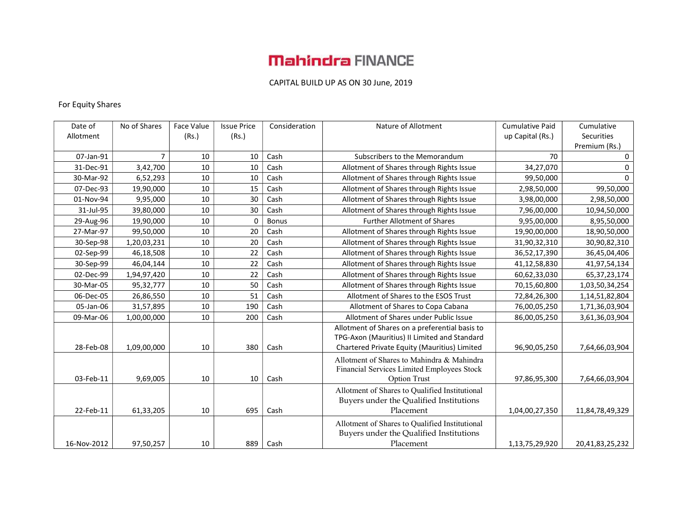## For Equity Shares

|             | No of Shares   |            |                    | Consideration | Nature of Allotment                                                                                                                            | <b>Cumulative Paid</b> |                 |
|-------------|----------------|------------|--------------------|---------------|------------------------------------------------------------------------------------------------------------------------------------------------|------------------------|-----------------|
| Date of     |                | Face Value | <b>Issue Price</b> |               |                                                                                                                                                |                        | Cumulative      |
| Allotment   |                | (Rs.)      | (Rs.)              |               |                                                                                                                                                | up Capital (Rs.)       | Securities      |
|             | $\overline{7}$ |            |                    |               |                                                                                                                                                |                        | Premium (Rs.)   |
| 07-Jan-91   |                | 10         | 10                 | Cash          | Subscribers to the Memorandum                                                                                                                  | 70                     | 0               |
| 31-Dec-91   | 3,42,700       | 10         | 10                 | Cash          | Allotment of Shares through Rights Issue                                                                                                       | 34,27,070              | $\Omega$        |
| 30-Mar-92   | 6,52,293       | 10         | 10                 | Cash          | Allotment of Shares through Rights Issue                                                                                                       | 99,50,000              | <sup>0</sup>    |
| 07-Dec-93   | 19,90,000      | 10         | 15                 | Cash          | Allotment of Shares through Rights Issue                                                                                                       | 2,98,50,000            | 99,50,000       |
| 01-Nov-94   | 9,95,000       | 10         | 30                 | Cash          | Allotment of Shares through Rights Issue                                                                                                       | 3,98,00,000            | 2,98,50,000     |
| 31-Jul-95   | 39,80,000      | 10         | 30                 | Cash          | Allotment of Shares through Rights Issue                                                                                                       | 7,96,00,000            | 10,94,50,000    |
| 29-Aug-96   | 19,90,000      | 10         | 0                  | <b>Bonus</b>  | <b>Further Allotment of Shares</b>                                                                                                             | 9,95,00,000            | 8,95,50,000     |
| 27-Mar-97   | 99,50,000      | 10         | 20                 | Cash          | Allotment of Shares through Rights Issue                                                                                                       | 19,90,00,000           | 18,90,50,000    |
| 30-Sep-98   | 1,20,03,231    | 10         | 20                 | Cash          | Allotment of Shares through Rights Issue                                                                                                       | 31,90,32,310           | 30,90,82,310    |
| 02-Sep-99   | 46,18,508      | 10         | 22                 | Cash          | Allotment of Shares through Rights Issue                                                                                                       | 36,52,17,390           | 36,45,04,406    |
| 30-Sep-99   | 46,04,144      | 10         | 22                 | Cash          | Allotment of Shares through Rights Issue                                                                                                       | 41,12,58,830           | 41,97,54,134    |
| 02-Dec-99   | 1,94,97,420    | 10         | 22                 | Cash          | Allotment of Shares through Rights Issue                                                                                                       | 60,62,33,030           | 65, 37, 23, 174 |
| 30-Mar-05   | 95,32,777      | 10         | 50                 | Cash          | Allotment of Shares through Rights Issue                                                                                                       | 70,15,60,800           | 1,03,50,34,254  |
| 06-Dec-05   | 26,86,550      | 10         | 51                 | Cash          | Allotment of Shares to the ESOS Trust                                                                                                          | 72,84,26,300           | 1,14,51,82,804  |
| 05-Jan-06   | 31,57,895      | 10         | 190                | Cash          | Allotment of Shares to Copa Cabana                                                                                                             | 76,00,05,250           | 1,71,36,03,904  |
| 09-Mar-06   | 1,00,00,000    | 10         | 200                | Cash          | Allotment of Shares under Public Issue                                                                                                         | 86,00,05,250           | 3,61,36,03,904  |
| 28-Feb-08   | 1,09,00,000    | 10         | 380                | Cash          | Allotment of Shares on a preferential basis to<br>TPG-Axon (Mauritius) II Limited and Standard<br>Chartered Private Equity (Mauritius) Limited | 96,90,05,250           | 7,64,66,03,904  |
| 03-Feb-11   | 9,69,005       | 10         | 10                 | Cash          | Allotment of Shares to Mahindra & Mahindra<br>Financial Services Limited Employees Stock<br><b>Option Trust</b>                                | 97,86,95,300           | 7,64,66,03,904  |
| 22-Feb-11   | 61,33,205      | 10         | 695                | Cash          | Allotment of Shares to Qualified Institutional<br>Buyers under the Qualified Institutions<br>Placement                                         | 1,04,00,27,350         | 11,84,78,49,329 |
| 16-Nov-2012 | 97,50,257      | 10         | 889                | Cash          | Allotment of Shares to Qualified Institutional<br>Buyers under the Qualified Institutions<br>Placement                                         | 1,13,75,29,920         | 20,41,83,25,232 |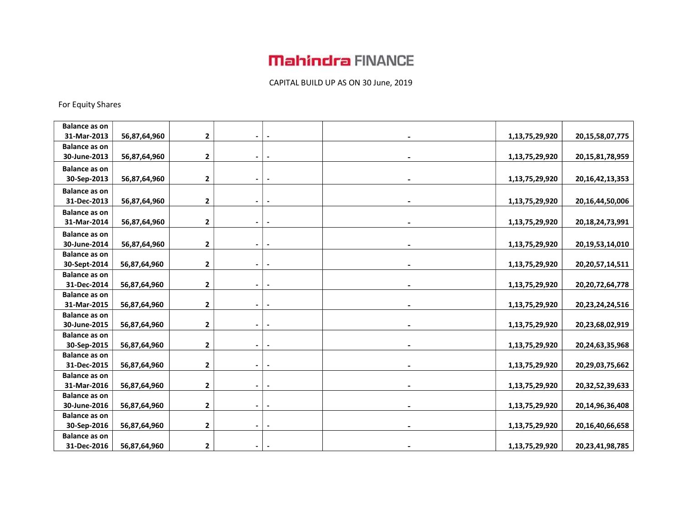For Equity Shares

| <b>Balance as on</b><br>31-Mar-2013<br>56,87,64,960<br>$\overline{2}$<br>1,13,75,29,920<br>$\overline{\phantom{a}}$<br>$\blacksquare$<br><b>Balance as on</b><br>30-June-2013<br>$\overline{2}$<br>56,87,64,960<br>1,13,75,29,920<br>20, 15, 81, 78, 959<br>$\sim$<br>$\overline{\phantom{a}}$<br><b>Balance as on</b><br>30-Sep-2013<br>56,87,64,960<br>$\mathbf{2}$<br>1,13,75,29,920<br>20, 16, 42, 13, 353<br>$\blacksquare$<br>$\blacksquare$<br><b>Balance as on</b><br>31-Dec-2013<br>56,87,64,960<br>$\overline{2}$<br>1,13,75,29,920<br>$\sim$<br>$\overline{\phantom{a}}$<br><b>Balance as on</b><br>31-Mar-2014<br>56,87,64,960<br>$\overline{2}$<br>1,13,75,29,920<br>$\blacksquare$<br>$\overline{\phantom{a}}$<br><b>Balance as on</b><br>30-June-2014<br>56,87,64,960<br>$\mathbf{2}$<br>1,13,75,29,920<br>$\blacksquare$<br>$\blacksquare$<br><b>Balance as on</b><br>30-Sept-2014<br>56,87,64,960<br>$\overline{2}$<br>1,13,75,29,920<br>$\blacksquare$<br><b>Balance as on</b><br>31-Dec-2014<br>56,87,64,960<br>$\overline{2}$<br>1,13,75,29,920<br>20, 20, 72, 64, 778<br>$\sim$<br>$\blacksquare$<br><b>Balance as on</b><br>31-Mar-2015<br>56,87,64,960<br>$\mathbf{2}$<br>1,13,75,29,920<br>20,23,24,24,516<br><b>Balance as on</b><br>30-June-2015<br>56,87,64,960<br>$\overline{2}$<br>1,13,75,29,920<br>20,23,68,02,919<br>$\blacksquare$<br><b>Balance as on</b><br>$\overline{2}$<br>30-Sep-2015<br>56,87,64,960<br>1,13,75,29,920<br>20,24,63,35,968<br>$\sim$<br>$\blacksquare$<br><b>Balance as on</b><br>31-Dec-2015<br>56,87,64,960<br>$\overline{2}$<br>1,13,75,29,920<br>20,29,03,75,662<br>$\blacksquare$<br>$\blacksquare$<br><b>Balance as on</b><br>31-Mar-2016<br>56,87,64,960<br>$\overline{2}$<br>1,13,75,29,920<br>20,32,52,39,633<br>$\overline{\phantom{a}}$<br><b>Balance as on</b><br>30-June-2016<br>56,87,64,960<br>$\overline{2}$<br>1,13,75,29,920<br>$\blacksquare$<br><b>Balance as on</b><br>$\overline{2}$<br>30-Sep-2016<br>56,87,64,960<br>1,13,75,29,920<br>$\blacksquare$<br>$\overline{\phantom{0}}$<br><b>Balance as on</b><br>31-Dec-2016<br>56,87,64,960<br>$\mathbf{2}$<br>1,13,75,29,920<br>$\sim$<br>$\blacksquare$<br>۰ |  |  |  |                     |
|--------------------------------------------------------------------------------------------------------------------------------------------------------------------------------------------------------------------------------------------------------------------------------------------------------------------------------------------------------------------------------------------------------------------------------------------------------------------------------------------------------------------------------------------------------------------------------------------------------------------------------------------------------------------------------------------------------------------------------------------------------------------------------------------------------------------------------------------------------------------------------------------------------------------------------------------------------------------------------------------------------------------------------------------------------------------------------------------------------------------------------------------------------------------------------------------------------------------------------------------------------------------------------------------------------------------------------------------------------------------------------------------------------------------------------------------------------------------------------------------------------------------------------------------------------------------------------------------------------------------------------------------------------------------------------------------------------------------------------------------------------------------------------------------------------------------------------------------------------------------------------------------------------------------------------------------------------------------------------------------------------------------------------------------------------------------------------------------------------------------------------------------------------------------------------------------|--|--|--|---------------------|
|                                                                                                                                                                                                                                                                                                                                                                                                                                                                                                                                                                                                                                                                                                                                                                                                                                                                                                                                                                                                                                                                                                                                                                                                                                                                                                                                                                                                                                                                                                                                                                                                                                                                                                                                                                                                                                                                                                                                                                                                                                                                                                                                                                                            |  |  |  |                     |
|                                                                                                                                                                                                                                                                                                                                                                                                                                                                                                                                                                                                                                                                                                                                                                                                                                                                                                                                                                                                                                                                                                                                                                                                                                                                                                                                                                                                                                                                                                                                                                                                                                                                                                                                                                                                                                                                                                                                                                                                                                                                                                                                                                                            |  |  |  | 20, 15, 58, 07, 775 |
|                                                                                                                                                                                                                                                                                                                                                                                                                                                                                                                                                                                                                                                                                                                                                                                                                                                                                                                                                                                                                                                                                                                                                                                                                                                                                                                                                                                                                                                                                                                                                                                                                                                                                                                                                                                                                                                                                                                                                                                                                                                                                                                                                                                            |  |  |  |                     |
|                                                                                                                                                                                                                                                                                                                                                                                                                                                                                                                                                                                                                                                                                                                                                                                                                                                                                                                                                                                                                                                                                                                                                                                                                                                                                                                                                                                                                                                                                                                                                                                                                                                                                                                                                                                                                                                                                                                                                                                                                                                                                                                                                                                            |  |  |  |                     |
|                                                                                                                                                                                                                                                                                                                                                                                                                                                                                                                                                                                                                                                                                                                                                                                                                                                                                                                                                                                                                                                                                                                                                                                                                                                                                                                                                                                                                                                                                                                                                                                                                                                                                                                                                                                                                                                                                                                                                                                                                                                                                                                                                                                            |  |  |  |                     |
|                                                                                                                                                                                                                                                                                                                                                                                                                                                                                                                                                                                                                                                                                                                                                                                                                                                                                                                                                                                                                                                                                                                                                                                                                                                                                                                                                                                                                                                                                                                                                                                                                                                                                                                                                                                                                                                                                                                                                                                                                                                                                                                                                                                            |  |  |  |                     |
|                                                                                                                                                                                                                                                                                                                                                                                                                                                                                                                                                                                                                                                                                                                                                                                                                                                                                                                                                                                                                                                                                                                                                                                                                                                                                                                                                                                                                                                                                                                                                                                                                                                                                                                                                                                                                                                                                                                                                                                                                                                                                                                                                                                            |  |  |  |                     |
|                                                                                                                                                                                                                                                                                                                                                                                                                                                                                                                                                                                                                                                                                                                                                                                                                                                                                                                                                                                                                                                                                                                                                                                                                                                                                                                                                                                                                                                                                                                                                                                                                                                                                                                                                                                                                                                                                                                                                                                                                                                                                                                                                                                            |  |  |  | 20,16,44,50,006     |
|                                                                                                                                                                                                                                                                                                                                                                                                                                                                                                                                                                                                                                                                                                                                                                                                                                                                                                                                                                                                                                                                                                                                                                                                                                                                                                                                                                                                                                                                                                                                                                                                                                                                                                                                                                                                                                                                                                                                                                                                                                                                                                                                                                                            |  |  |  |                     |
|                                                                                                                                                                                                                                                                                                                                                                                                                                                                                                                                                                                                                                                                                                                                                                                                                                                                                                                                                                                                                                                                                                                                                                                                                                                                                                                                                                                                                                                                                                                                                                                                                                                                                                                                                                                                                                                                                                                                                                                                                                                                                                                                                                                            |  |  |  | 20,18,24,73,991     |
|                                                                                                                                                                                                                                                                                                                                                                                                                                                                                                                                                                                                                                                                                                                                                                                                                                                                                                                                                                                                                                                                                                                                                                                                                                                                                                                                                                                                                                                                                                                                                                                                                                                                                                                                                                                                                                                                                                                                                                                                                                                                                                                                                                                            |  |  |  |                     |
|                                                                                                                                                                                                                                                                                                                                                                                                                                                                                                                                                                                                                                                                                                                                                                                                                                                                                                                                                                                                                                                                                                                                                                                                                                                                                                                                                                                                                                                                                                                                                                                                                                                                                                                                                                                                                                                                                                                                                                                                                                                                                                                                                                                            |  |  |  | 20, 19, 53, 14, 010 |
|                                                                                                                                                                                                                                                                                                                                                                                                                                                                                                                                                                                                                                                                                                                                                                                                                                                                                                                                                                                                                                                                                                                                                                                                                                                                                                                                                                                                                                                                                                                                                                                                                                                                                                                                                                                                                                                                                                                                                                                                                                                                                                                                                                                            |  |  |  |                     |
|                                                                                                                                                                                                                                                                                                                                                                                                                                                                                                                                                                                                                                                                                                                                                                                                                                                                                                                                                                                                                                                                                                                                                                                                                                                                                                                                                                                                                                                                                                                                                                                                                                                                                                                                                                                                                                                                                                                                                                                                                                                                                                                                                                                            |  |  |  | 20, 20, 57, 14, 511 |
|                                                                                                                                                                                                                                                                                                                                                                                                                                                                                                                                                                                                                                                                                                                                                                                                                                                                                                                                                                                                                                                                                                                                                                                                                                                                                                                                                                                                                                                                                                                                                                                                                                                                                                                                                                                                                                                                                                                                                                                                                                                                                                                                                                                            |  |  |  |                     |
|                                                                                                                                                                                                                                                                                                                                                                                                                                                                                                                                                                                                                                                                                                                                                                                                                                                                                                                                                                                                                                                                                                                                                                                                                                                                                                                                                                                                                                                                                                                                                                                                                                                                                                                                                                                                                                                                                                                                                                                                                                                                                                                                                                                            |  |  |  |                     |
|                                                                                                                                                                                                                                                                                                                                                                                                                                                                                                                                                                                                                                                                                                                                                                                                                                                                                                                                                                                                                                                                                                                                                                                                                                                                                                                                                                                                                                                                                                                                                                                                                                                                                                                                                                                                                                                                                                                                                                                                                                                                                                                                                                                            |  |  |  |                     |
|                                                                                                                                                                                                                                                                                                                                                                                                                                                                                                                                                                                                                                                                                                                                                                                                                                                                                                                                                                                                                                                                                                                                                                                                                                                                                                                                                                                                                                                                                                                                                                                                                                                                                                                                                                                                                                                                                                                                                                                                                                                                                                                                                                                            |  |  |  |                     |
|                                                                                                                                                                                                                                                                                                                                                                                                                                                                                                                                                                                                                                                                                                                                                                                                                                                                                                                                                                                                                                                                                                                                                                                                                                                                                                                                                                                                                                                                                                                                                                                                                                                                                                                                                                                                                                                                                                                                                                                                                                                                                                                                                                                            |  |  |  |                     |
|                                                                                                                                                                                                                                                                                                                                                                                                                                                                                                                                                                                                                                                                                                                                                                                                                                                                                                                                                                                                                                                                                                                                                                                                                                                                                                                                                                                                                                                                                                                                                                                                                                                                                                                                                                                                                                                                                                                                                                                                                                                                                                                                                                                            |  |  |  |                     |
|                                                                                                                                                                                                                                                                                                                                                                                                                                                                                                                                                                                                                                                                                                                                                                                                                                                                                                                                                                                                                                                                                                                                                                                                                                                                                                                                                                                                                                                                                                                                                                                                                                                                                                                                                                                                                                                                                                                                                                                                                                                                                                                                                                                            |  |  |  |                     |
|                                                                                                                                                                                                                                                                                                                                                                                                                                                                                                                                                                                                                                                                                                                                                                                                                                                                                                                                                                                                                                                                                                                                                                                                                                                                                                                                                                                                                                                                                                                                                                                                                                                                                                                                                                                                                                                                                                                                                                                                                                                                                                                                                                                            |  |  |  |                     |
|                                                                                                                                                                                                                                                                                                                                                                                                                                                                                                                                                                                                                                                                                                                                                                                                                                                                                                                                                                                                                                                                                                                                                                                                                                                                                                                                                                                                                                                                                                                                                                                                                                                                                                                                                                                                                                                                                                                                                                                                                                                                                                                                                                                            |  |  |  |                     |
|                                                                                                                                                                                                                                                                                                                                                                                                                                                                                                                                                                                                                                                                                                                                                                                                                                                                                                                                                                                                                                                                                                                                                                                                                                                                                                                                                                                                                                                                                                                                                                                                                                                                                                                                                                                                                                                                                                                                                                                                                                                                                                                                                                                            |  |  |  |                     |
|                                                                                                                                                                                                                                                                                                                                                                                                                                                                                                                                                                                                                                                                                                                                                                                                                                                                                                                                                                                                                                                                                                                                                                                                                                                                                                                                                                                                                                                                                                                                                                                                                                                                                                                                                                                                                                                                                                                                                                                                                                                                                                                                                                                            |  |  |  |                     |
|                                                                                                                                                                                                                                                                                                                                                                                                                                                                                                                                                                                                                                                                                                                                                                                                                                                                                                                                                                                                                                                                                                                                                                                                                                                                                                                                                                                                                                                                                                                                                                                                                                                                                                                                                                                                                                                                                                                                                                                                                                                                                                                                                                                            |  |  |  |                     |
|                                                                                                                                                                                                                                                                                                                                                                                                                                                                                                                                                                                                                                                                                                                                                                                                                                                                                                                                                                                                                                                                                                                                                                                                                                                                                                                                                                                                                                                                                                                                                                                                                                                                                                                                                                                                                                                                                                                                                                                                                                                                                                                                                                                            |  |  |  | 20,14,96,36,408     |
|                                                                                                                                                                                                                                                                                                                                                                                                                                                                                                                                                                                                                                                                                                                                                                                                                                                                                                                                                                                                                                                                                                                                                                                                                                                                                                                                                                                                                                                                                                                                                                                                                                                                                                                                                                                                                                                                                                                                                                                                                                                                                                                                                                                            |  |  |  |                     |
|                                                                                                                                                                                                                                                                                                                                                                                                                                                                                                                                                                                                                                                                                                                                                                                                                                                                                                                                                                                                                                                                                                                                                                                                                                                                                                                                                                                                                                                                                                                                                                                                                                                                                                                                                                                                                                                                                                                                                                                                                                                                                                                                                                                            |  |  |  | 20,16,40,66,658     |
|                                                                                                                                                                                                                                                                                                                                                                                                                                                                                                                                                                                                                                                                                                                                                                                                                                                                                                                                                                                                                                                                                                                                                                                                                                                                                                                                                                                                                                                                                                                                                                                                                                                                                                                                                                                                                                                                                                                                                                                                                                                                                                                                                                                            |  |  |  |                     |
|                                                                                                                                                                                                                                                                                                                                                                                                                                                                                                                                                                                                                                                                                                                                                                                                                                                                                                                                                                                                                                                                                                                                                                                                                                                                                                                                                                                                                                                                                                                                                                                                                                                                                                                                                                                                                                                                                                                                                                                                                                                                                                                                                                                            |  |  |  | 20,23,41,98,785     |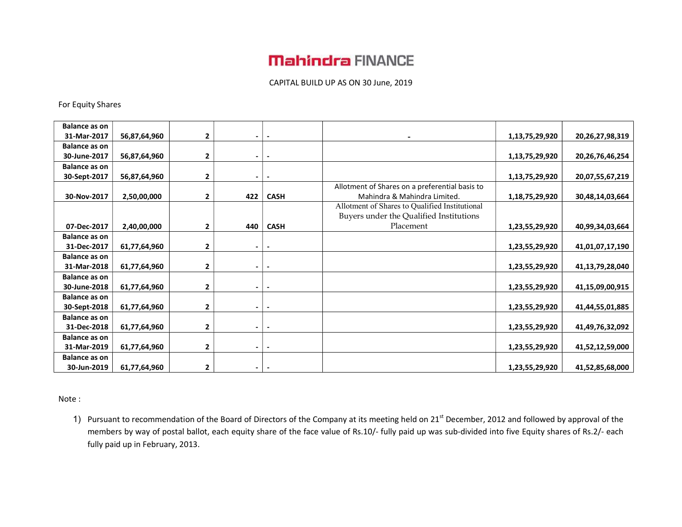For Equity Shares

| <b>Balance as on</b> |              |              |                          |                          |                                                |                |                 |
|----------------------|--------------|--------------|--------------------------|--------------------------|------------------------------------------------|----------------|-----------------|
| 31-Mar-2017          | 56,87,64,960 | $\mathbf{2}$ | $\blacksquare$           | $\overline{\phantom{a}}$ |                                                | 1,13,75,29,920 | 20,26,27,98,319 |
| <b>Balance as on</b> |              |              |                          |                          |                                                |                |                 |
| 30-June-2017         | 56,87,64,960 | $\mathbf{2}$ | $\blacksquare$           | $\overline{\phantom{a}}$ |                                                | 1,13,75,29,920 | 20,26,76,46,254 |
| <b>Balance as on</b> |              |              |                          |                          |                                                |                |                 |
| 30-Sept-2017         | 56,87,64,960 | $\mathbf{2}$ | $\blacksquare$           | $\overline{\phantom{a}}$ |                                                | 1,13,75,29,920 | 20,07,55,67,219 |
|                      |              |              |                          |                          | Allotment of Shares on a preferential basis to |                |                 |
| 30-Nov-2017          | 2,50,00,000  | $\mathbf{2}$ | 422                      | <b>CASH</b>              | Mahindra & Mahindra Limited.                   | 1,18,75,29,920 | 30,48,14,03,664 |
|                      |              |              |                          |                          | Allotment of Shares to Qualified Institutional |                |                 |
|                      |              |              |                          |                          | Buyers under the Qualified Institutions        |                |                 |
| 07-Dec-2017          | 2,40,00,000  | 2            | 440                      | <b>CASH</b>              | Placement                                      | 1,23,55,29,920 | 40,99,34,03,664 |
| <b>Balance as on</b> |              |              |                          |                          |                                                |                |                 |
| 31-Dec-2017          | 61,77,64,960 | $\mathbf{2}$ | $\overline{\phantom{a}}$ | $\overline{\phantom{a}}$ |                                                | 1,23,55,29,920 | 41,01,07,17,190 |
| <b>Balance as on</b> |              |              |                          |                          |                                                |                |                 |
| 31-Mar-2018          | 61,77,64,960 | 2            | $\overline{\phantom{0}}$ | $\overline{\phantom{a}}$ |                                                | 1,23,55,29,920 | 41,13,79,28,040 |
| <b>Balance as on</b> |              |              |                          |                          |                                                |                |                 |
| 30-June-2018         | 61,77,64,960 | 2            | $\blacksquare$           | $\overline{\phantom{a}}$ |                                                | 1,23,55,29,920 | 41,15,09,00,915 |
| <b>Balance as on</b> |              |              |                          |                          |                                                |                |                 |
| 30-Sept-2018         | 61,77,64,960 | $\mathbf{2}$ | $\blacksquare$           | $\overline{\phantom{a}}$ |                                                | 1,23,55,29,920 | 41,44,55,01,885 |
| <b>Balance as on</b> |              |              |                          |                          |                                                |                |                 |
| 31-Dec-2018          | 61,77,64,960 | $\mathbf{2}$ | $\sim$                   | $\overline{\phantom{a}}$ |                                                | 1,23,55,29,920 | 41,49,76,32,092 |
| <b>Balance as on</b> |              |              |                          |                          |                                                |                |                 |
| 31-Mar-2019          | 61,77,64,960 | $\mathbf{2}$ | $\blacksquare$           | $\overline{\phantom{a}}$ |                                                | 1,23,55,29,920 | 41,52,12,59,000 |
| <b>Balance as on</b> |              |              |                          |                          |                                                |                |                 |
| 30-Jun-2019          | 61,77,64,960 | $\mathbf{2}$ |                          | $\overline{\phantom{a}}$ |                                                | 1,23,55,29,920 | 41,52,85,68,000 |

Note :

1) Pursuant to recommendation of the Board of Directors of the Company at its meeting held on 21<sup>st</sup> December, 2012 and followed by approval of the members by way of postal ballot, each equity share of the face value of Rs.10/- fully paid up was sub-divided into five Equity shares of Rs.2/- each fully paid up in February, 2013.